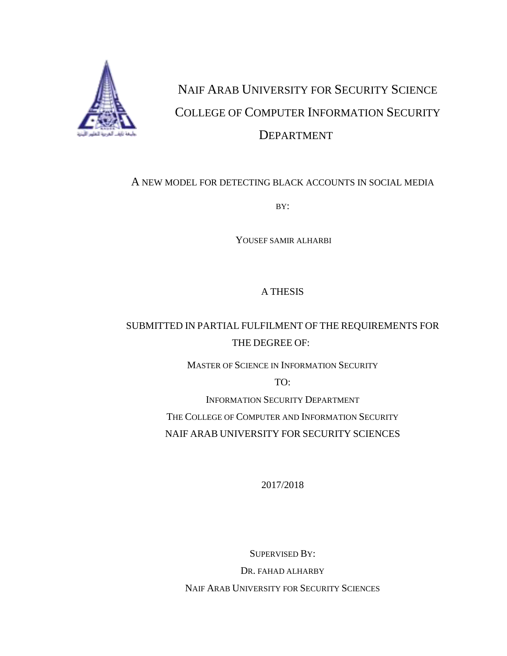

# NAIF ARAB UNIVERSITY FOR SECURITY SCIENCE COLLEGE OF COMPUTER INFORMATION SECURITY DEPARTMENT

#### A NEW MODEL FOR DETECTING BLACK ACCOUNTS IN SOCIAL MEDIA

BY:

YOUSEF SAMIR ALHARBI

#### A THESIS

### SUBMITTED IN PARTIAL FULFILMENT OF THE REQUIREMENTS FOR THE DEGREE OF:

MASTER OF SCIENCE IN INFORMATION SECURITY

TO:

INFORMATION SECURITY DEPARTMENT THE COLLEGE OF COMPUTER AND INFORMATION SECURITY NAIF ARAB UNIVERSITY FOR SECURITY SCIENCES

2017/2018

SUPERVISED BY: DR. FAHAD ALHARBY NAIF ARAB UNIVERSITY FOR SECURITY SCIENCES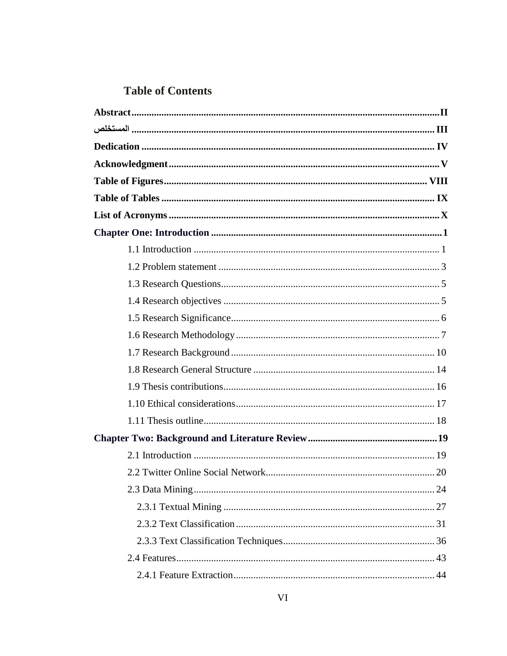### **Table of Contents**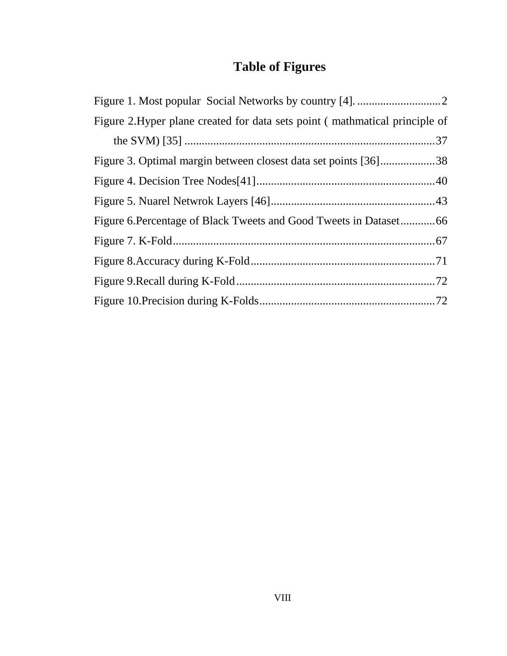## **Table of Figures**

<span id="page-3-0"></span>

| Figure 2. Hyper plane created for data sets point (mathmatical principle of |  |
|-----------------------------------------------------------------------------|--|
|                                                                             |  |
| Figure 3. Optimal margin between closest data set points [36]38             |  |
|                                                                             |  |
|                                                                             |  |
|                                                                             |  |
|                                                                             |  |
|                                                                             |  |
|                                                                             |  |
|                                                                             |  |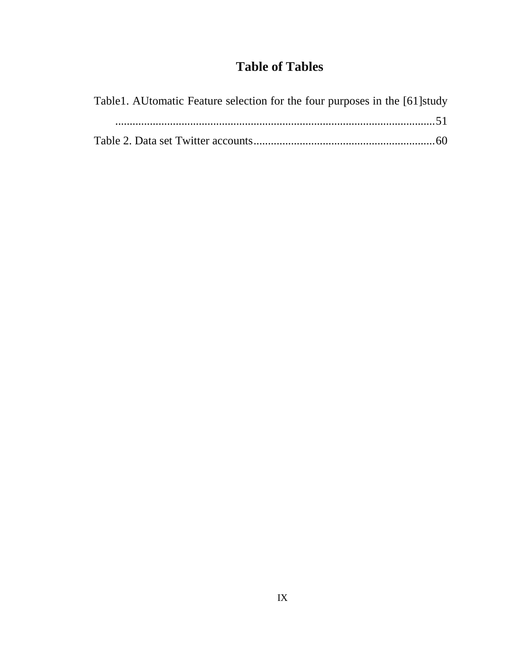### **Table of Tables**

<span id="page-4-0"></span>

| Table 1. AU to matic Feature selection for the four purposes in the [61] study |
|--------------------------------------------------------------------------------|
|                                                                                |
|                                                                                |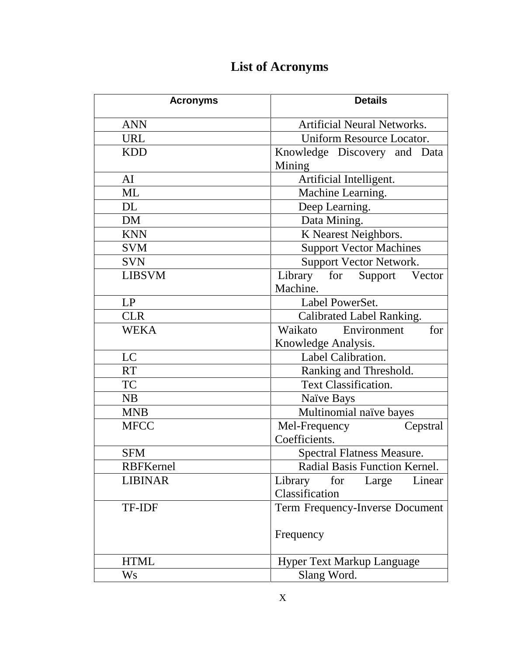<span id="page-5-0"></span>

| <b>Acronyms</b>  | <b>Details</b>                     |
|------------------|------------------------------------|
| <b>ANN</b>       | <b>Artificial Neural Networks.</b> |
| <b>URL</b>       | Uniform Resource Locator.          |
| <b>KDD</b>       | Knowledge Discovery and Data       |
|                  | Mining                             |
| AI               | Artificial Intelligent.            |
| <b>ML</b>        | Machine Learning.                  |
| <b>DL</b>        | Deep Learning.                     |
| <b>DM</b>        | Data Mining.                       |
| <b>KNN</b>       | K Nearest Neighbors.               |
| <b>SVM</b>       | <b>Support Vector Machines</b>     |
| <b>SVN</b>       | Support Vector Network.            |
| <b>LIBSVM</b>    | Library for<br>Support Vector      |
|                  | Machine.                           |
| LP               | Label PowerSet.                    |
| <b>CLR</b>       | Calibrated Label Ranking.          |
| <b>WEKA</b>      | Waikato<br>for<br>Environment      |
|                  | Knowledge Analysis.                |
| LC               | Label Calibration.                 |
| <b>RT</b>        | Ranking and Threshold.             |
| <b>TC</b>        | <b>Text Classification.</b>        |
| <b>NB</b>        | Naïve Bays                         |
| <b>MNB</b>       | Multinomial naïve bayes            |
| <b>MFCC</b>      | Mel-Frequency<br>Cepstral          |
|                  | Coefficients.                      |
| <b>SFM</b>       | <b>Spectral Flatness Measure.</b>  |
| <b>RBFKernel</b> | Radial Basis Function Kernel.      |
| <b>LIBINAR</b>   | Library<br>Linear<br>for<br>Large  |
|                  | Classification                     |
| <b>TF-IDF</b>    | Term Frequency-Inverse Document    |
|                  | Frequency                          |
| <b>HTML</b>      | <b>Hyper Text Markup Language</b>  |
| Ws               | Slang Word.                        |

## **List of Acronyms**